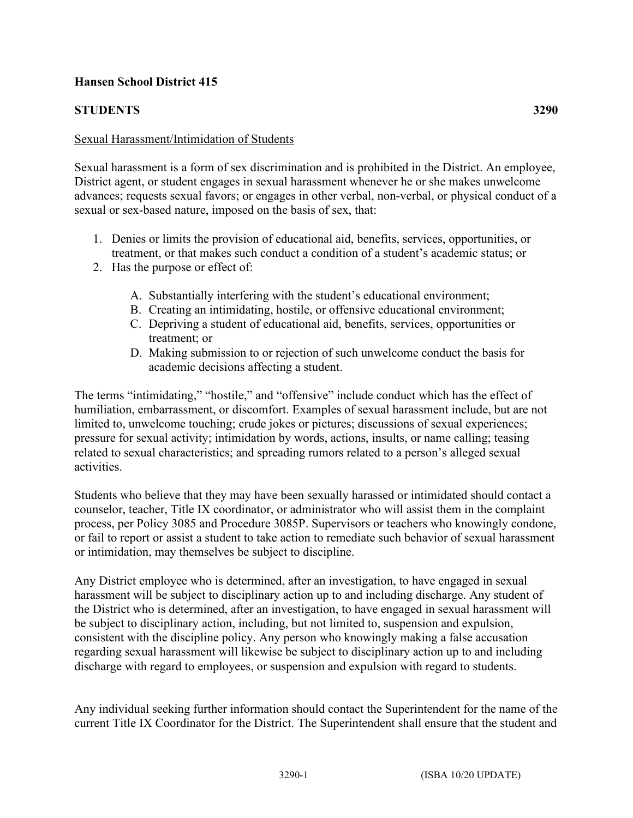## **Hansen School District 415**

## **STUDENTS 3290**

## Sexual Harassment/Intimidation of Students

Sexual harassment is a form of sex discrimination and is prohibited in the District. An employee, District agent, or student engages in sexual harassment whenever he or she makes unwelcome advances; requests sexual favors; or engages in other verbal, non-verbal, or physical conduct of a sexual or sex-based nature, imposed on the basis of sex, that:

- 1. Denies or limits the provision of educational aid, benefits, services, opportunities, or treatment, or that makes such conduct a condition of a student's academic status; or
- 2. Has the purpose or effect of:
	- A. Substantially interfering with the student's educational environment;
	- B. Creating an intimidating, hostile, or offensive educational environment;
	- C. Depriving a student of educational aid, benefits, services, opportunities or treatment; or
	- D. Making submission to or rejection of such unwelcome conduct the basis for academic decisions affecting a student.

The terms "intimidating," "hostile," and "offensive" include conduct which has the effect of humiliation, embarrassment, or discomfort. Examples of sexual harassment include, but are not limited to, unwelcome touching; crude jokes or pictures; discussions of sexual experiences; pressure for sexual activity; intimidation by words, actions, insults, or name calling; teasing related to sexual characteristics; and spreading rumors related to a person's alleged sexual activities.

Students who believe that they may have been sexually harassed or intimidated should contact a counselor, teacher, Title IX coordinator, or administrator who will assist them in the complaint process, per Policy 3085 and Procedure 3085P. Supervisors or teachers who knowingly condone, or fail to report or assist a student to take action to remediate such behavior of sexual harassment or intimidation, may themselves be subject to discipline.

Any District employee who is determined, after an investigation, to have engaged in sexual harassment will be subject to disciplinary action up to and including discharge. Any student of the District who is determined, after an investigation, to have engaged in sexual harassment will be subject to disciplinary action, including, but not limited to, suspension and expulsion, consistent with the discipline policy. Any person who knowingly making a false accusation regarding sexual harassment will likewise be subject to disciplinary action up to and including discharge with regard to employees, or suspension and expulsion with regard to students.

Any individual seeking further information should contact the Superintendent for the name of the current Title IX Coordinator for the District. The Superintendent shall ensure that the student and